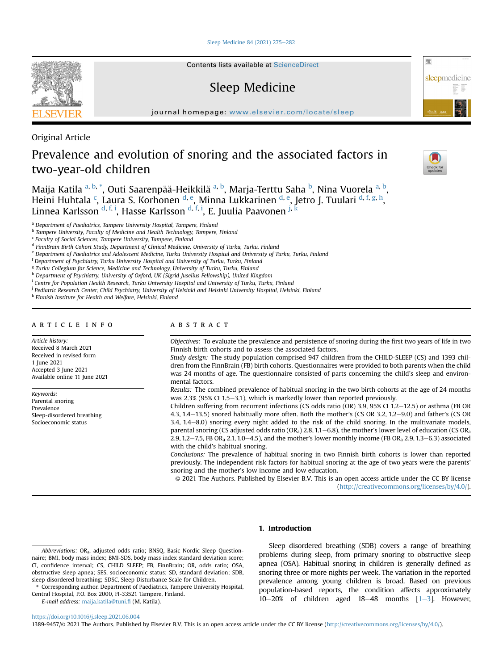[Sleep Medicine 84 \(2021\) 275](https://doi.org/10.1016/j.sleep.2021.06.004)-[282](https://doi.org/10.1016/j.sleep.2021.06.004)

Contents lists available at ScienceDirect

# Sleep Medicine

journal homepage: <www.elsevier.com/locate/sleep>

Original Article

# Prevalence and evolution of snoring and the associated factors in two-year-old children



骤

sleepmedicine

Maija Katila <sup>[a,](#page-0-0) [b](#page-0-1), [\\*](#page-0-2)</sup>, Outi Saarenpää-Heikkilä <sup>a, b</sup>, Marja-Terttu Saha <sup>b</sup>, Nina Vuorela <sup>a, b</sup>, Heini Huhtala <sup>[c](#page-0-3)</sup>, Laura S. Korhonen <sup>[d,](#page-0-4) [e](#page-0-5)</sup>, Minna Lukkarinen <sup>[d](#page-0-4), e</sup>, Jetro J. Tuulari <sup>d, [f](#page-0-6), [g,](#page-0-7) [h](#page-0-8)</sup>, Linnea Karlsson <sup>[d](#page-0-4), [f,](#page-0-6) [i](#page-0-9)</sup>, Hasse Karlsson <sup>d, f, i</sup>, E. Juulia Paavonen <sup>[j](#page-0-10), [k](#page-0-11)</sup>

<span id="page-0-0"></span><sup>a</sup> Department of Paediatrics, Tampere University Hospital, Tampere, Finland

<span id="page-0-1"></span>**b Tampere University, Faculty of Medicine and Health Technology, Tampere, Finland** 

<span id="page-0-5"></span><sup>e</sup> Department of Paediatrics and Adolescent Medicine, Turku University Hospital and University of Turku, Turku, Finland

- <span id="page-0-6"></span><sup>f</sup> Department of Psychiatry, Turku University Hospital and University of Turku, Turku, Finland
- <span id="page-0-7"></span><sup>g</sup> Turku Collegium for Science, Medicine and Technology, University of Turku, Turku, Finland
- <span id="page-0-8"></span>h Department of Psychiatry, University of Oxford, UK (Sigrid Juselius Fellowship), United Kingdom
- <span id="page-0-9"></span><sup>i</sup> Centre for Population Health Research, Turku University Hospital and University of Turku, Turku, Finland
- <span id="page-0-10"></span><sup>j</sup> Pediatric Research Center, Child Psychiatry, University of Helsinki and Helsinki University Hospital, Helsinki, Finland

<span id="page-0-11"></span><sup>k</sup> Finnish Institute for Health and Welfare, Helsinki, Finland

# article info

Article history: Received 8 March 2021 Received in revised form 1 June 2021 Accepted 3 June 2021 Available online 11 June 2021

Keywords: Parental snoring Prevalence Sleep-disordered breathing Socioeconomic status

# **ABSTRACT**

Objectives: To evaluate the prevalence and persistence of snoring during the first two years of life in two Finnish birth cohorts and to assess the associated factors.

Study design: The study population comprised 947 children from the CHILD-SLEEP (CS) and 1393 children from the FinnBrain (FB) birth cohorts. Questionnaires were provided to both parents when the child was 24 months of age. The questionnaire consisted of parts concerning the child's sleep and environmental factors.

Results: The combined prevalence of habitual snoring in the two birth cohorts at the age of 24 months was  $2.3\%$  (95% CI 1.5–3.1), which is markedly lower than reported previously.

Children suffering from recurrent infections (CS odds ratio (OR) 3.9, 95% CI 1.2 $-12.5$ ) or asthma (FB OR 4.3,  $1.4-13.5$ ) snored habitually more often. Both the mother's (CS OR 3.2,  $1.2-9.0$ ) and father's (CS OR  $3.4$ ,  $1.4-8.0$ ) snoring every night added to the risk of the child snoring. In the multivariate models, parental snoring (CS adjusted odds ratio (OR<sub>a</sub>) 2.8, 1.1–6.8), the mother's lower level of education (CS OR<sub>a</sub>) 2.9, 1.2–7.5, FB OR<sub>a</sub> 2.1, 1.0–4.5), and the mother's lower monthly income (FB OR<sub>a</sub> 2.9, 1.3–6.3) associated with the child's habitual snoring.

Conclusions: The prevalence of habitual snoring in two Finnish birth cohorts is lower than reported previously. The independent risk factors for habitual snoring at the age of two years were the parents' snoring and the mother's low income and low education.

© 2021 The Authors. Published by Elsevier B.V. This is an open access article under the CC BY license [\(http://creativecommons.org/licenses/by/4.0/](http://creativecommons.org/licenses/by/4.0/)).

# 1. Introduction

<span id="page-0-2"></span>\* Corresponding author. Department of Paediatrics, Tampere University Hospital, Central Hospital, P.O. Box 2000, FI-33521 Tampere, Finland. E-mail address: [maija.katila@tuni.](mailto:maija.katila@tuni.fi)fi (M. Katila).

Sleep disordered breathing (SDB) covers a range of breathing problems during sleep, from primary snoring to obstructive sleep apnea (OSA). Habitual snoring in children is generally defined as snoring three or more nights per week. The variation in the reported prevalence among young children is broad. Based on previous population-based reports, the condition affects approximately 10-20% of children aged 18-48 months  $[1-3]$  $[1-3]$  $[1-3]$  $[1-3]$ . However,

### <https://doi.org/10.1016/j.sleep.2021.06.004>

1389-9457/© 2021 The Authors. Published by Elsevier B.V. This is an open access article under the CC BY license [\(http://creativecommons.org/licenses/by/4.0/\)](http://creativecommons.org/licenses/by/4.0/).

<span id="page-0-3"></span><sup>c</sup> Faculty of Social Sciences, Tampere University, Tampere, Finland

<span id="page-0-4"></span><sup>d</sup> FinnBrain Birth Cohort Study, Department of Clinical Medicine, University of Turku, Turku, Finland

Abbreviations: ORa, adjusted odds ratio; BNSQ, Basic Nordic Sleep Questionnaire; BMI, body mass index; BMI-SDS, body mass index standard deviation score; CI, confidence interval; CS, CHILD SLEEP; FB, FinnBrain; OR, odds ratio; OSA, obstructive sleep apnea; SES, socioeconomic status; SD, standard deviation; SDB, sleep disordered breathing; SDSC, Sleep Disturbance Scale for Children.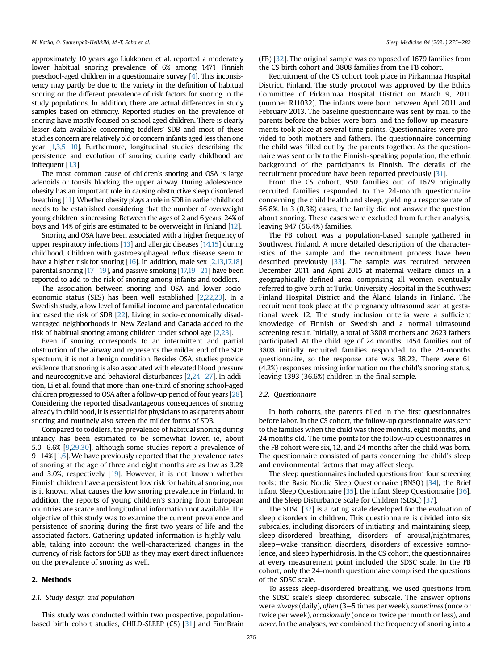approximately 10 years ago Liukkonen et al. reported a moderately lower habitual snoring prevalence of 6% among 1471 Finnish preschool-aged children in a questionnaire survey [[4](#page-6-1)]. This inconsistency may partly be due to the variety in the definition of habitual snoring or the different prevalence of risk factors for snoring in the study populations. In addition, there are actual differences in study samples based on ethnicity. Reported studies on the prevalence of snoring have mostly focused on school aged children. There is clearly lesser data available concerning toddlers' SDB and most of these studies concern are relatively old or concern infants aged less than one year  $[1,3,5-10]$  $[1,3,5-10]$  $[1,3,5-10]$  $[1,3,5-10]$  $[1,3,5-10]$ . Furthermore, longitudinal studies describing the persistence and evolution of snoring during early childhood are infrequent [[1](#page-6-0)[,3\]](#page-6-2).

The most common cause of children's snoring and OSA is large adenoids or tonsils blocking the upper airway. During adolescence, obesity has an important role in causing obstructive sleep disordered breathing [[11\]](#page-6-4). Whether obesity plays a role in SDB in earlier childhood needs to be established considering that the number of overweight young children is increasing. Between the ages of 2 and 6 years, 24% of boys and 14% of girls are estimated to be overweight in Finland [\[12\]](#page-6-5).

Snoring and OSA have been associated with a higher frequency of upper respiratory infections  $[13]$  $[13]$  and allergic diseases  $[14,15]$  $[14,15]$  during childhood. Children with gastroesophageal reflux disease seem to have a higher risk for snoring [\[16\]](#page-6-9). In addition, male sex [\[2](#page-6-10),[13,](#page-6-6)[17,](#page-6-11)[18\]](#page-6-12), parental snoring  $[17-19]$  $[17-19]$  $[17-19]$  $[17-19]$  $[17-19]$ , and passive smoking  $[17,19-21]$  $[17,19-21]$  $[17,19-21]$  $[17,19-21]$  have been reported to add to the risk of snoring among infants and toddlers.

The association between snoring and OSA and lower socioeconomic status (SES) has been well established [\[2](#page-6-10)[,22](#page-6-14)[,23](#page-6-15)]. In a Swedish study, a low level of familial income and parental education increased the risk of SDB [\[22](#page-6-14)]. Living in socio-economically disadvantaged neighborhoods in New Zealand and Canada added to the risk of habitual snoring among children under school age [[2](#page-6-10)[,23](#page-6-15)].

Even if snoring corresponds to an intermittent and partial obstruction of the airway and represents the milder end of the SDB spectrum, it is not a benign condition. Besides OSA, studies provide evidence that snoring is also associated with elevated blood pressure and neurocognitive and behavioral disturbances  $[2,24-27]$  $[2,24-27]$  $[2,24-27]$  $[2,24-27]$  $[2,24-27]$ . In addition, Li et al. found that more than one-third of snoring school-aged children progressed to OSA after a follow-up period of four years [[28\]](#page-6-17). Considering the reported disadvantageous consequences of snoring already in childhood, it is essential for physicians to ask parents about snoring and routinely also screen the milder forms of SDB.

Compared to toddlers, the prevalence of habitual snoring during infancy has been estimated to be somewhat lower, ie, about 5.0 $-6.6\%$  [[9,](#page-6-18)[29,](#page-6-19)[30](#page-6-20)], although some studies report a prevalence of  $9-14\%$  [\[1,](#page-6-0)[6](#page-6-21)]. We have previously reported that the prevalence rates of snoring at the age of three and eight months are as low as 3.2% and 3.0%, respectively [\[19](#page-6-13)]. However, it is not known whether Finnish children have a persistent low risk for habitual snoring, nor is it known what causes the low snoring prevalence in Finland. In addition, the reports of young children's snoring from European countries are scarce and longitudinal information not available. The objective of this study was to examine the current prevalence and persistence of snoring during the first two years of life and the associated factors. Gathering updated information is highly valuable, taking into account the well-characterized changes in the currency of risk factors for SDB as they may exert direct influences on the prevalence of snoring as well.

#### 2. Methods

#### 2.1. Study design and population

This study was conducted within two prospective, populationbased birth cohort studies, CHILD-SLEEP (CS) [\[31](#page-6-22)] and FinnBrain (FB) [[32](#page-6-23)]. The original sample was composed of 1679 families from the CS birth cohort and 3808 families from the FB cohort.

Recruitment of the CS cohort took place in Pirkanmaa Hospital District, Finland. The study protocol was approved by the Ethics Committee of Pirkanmaa Hospital District on March 9, 2011 (number R11032). The infants were born between April 2011 and February 2013. The baseline questionnaire was sent by mail to the parents before the babies were born, and the follow-up measurements took place at several time points. Questionnaires were provided to both mothers and fathers. The questionnaire concerning the child was filled out by the parents together. As the questionnaire was sent only to the Finnish-speaking population, the ethnic background of the participants is Finnish. The details of the recruitment procedure have been reported previously [\[31](#page-6-22)].

From the CS cohort, 950 families out of 1679 originally recruited families responded to the 24-month questionnaire concerning the child health and sleep, yielding a response rate of 56.8%. In 3 (0.3%) cases, the family did not answer the question about snoring. These cases were excluded from further analysis, leaving 947 (56.4%) families.

The FB cohort was a population-based sample gathered in Southwest Finland. A more detailed description of the characteristics of the sample and the recruitment process have been described previously [[33\]](#page-6-24). The sample was recruited between December 2011 and April 2015 at maternal welfare clinics in a geographically defined area, comprising all women eventually referred to give birth at Turku University Hospital in the Southwest Finland Hospital District and the Åland Islands in Finland. The recruitment took place at the pregnancy ultrasound scan at gestational week 12. The study inclusion criteria were a sufficient knowledge of Finnish or Swedish and a normal ultrasound screening result. Initially, a total of 3808 mothers and 2623 fathers participated. At the child age of 24 months, 1454 families out of 3808 initially recruited families responded to the 24-months questionnaire, so the response rate was 38.2%. There were 61 (4.2%) responses missing information on the child's snoring status, leaving 1393 (36.6%) children in the final sample.

#### 2.2. Questionnaire

In both cohorts, the parents filled in the first questionnaires before labor. In the CS cohort, the follow-up questionnaire was sent to the families when the child was three months, eight months, and 24 months old. The time points for the follow-up questionnaires in the FB cohort were six, 12, and 24 months after the child was born. The questionnaire consisted of parts concerning the child's sleep and environmental factors that may affect sleep.

The sleep questionnaires included questions from four screening tools: the Basic Nordic Sleep Questionnaire (BNSQ) [\[34\]](#page-6-25), the Brief Infant Sleep Questionnaire [[35](#page-7-0)], the Infant Sleep Questionnaire [[36\]](#page-7-1), and the Sleep Disturbance Scale for Children (SDSC) [[37\]](#page-7-2).

The SDSC [\[37\]](#page-7-2) is a rating scale developed for the evaluation of sleep disorders in children. This questionnaire is divided into six subscales, including disorders of initiating and maintaining sleep, sleep-disordered breathing, disorders of arousal/nightmares, sleep-wake transition disorders, disorders of excessive somnolence, and sleep hyperhidrosis. In the CS cohort, the questionnaires at every measurement point included the SDSC scale. In the FB cohort, only the 24-month questionnaire comprised the questions of the SDSC scale.

To assess sleep-disordered breathing, we used questions from the SDSC scale's sleep disordered subscale. The answer options were always (daily), often (3-5 times per week), sometimes (once or twice per week), occasionally (once or twice per month or less), and never. In the analyses, we combined the frequency of snoring into a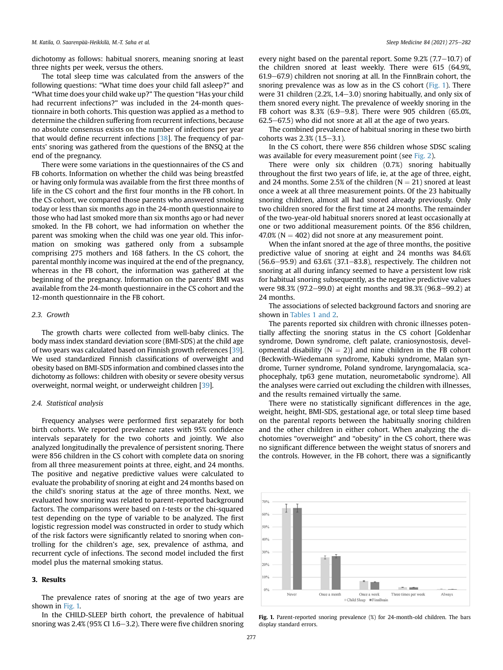dichotomy as follows: habitual snorers, meaning snoring at least three nights per week, versus the others.

The total sleep time was calculated from the answers of the following questions: "What time does your child fall asleep?" and "What time does your child wake up?" The question "Has your child had recurrent infections?" was included in the 24-month questionnaire in both cohorts. This question was applied as a method to determine the children suffering from recurrent infections, because no absolute consensus exists on the number of infections per year that would define recurrent infections [\[38\]](#page-7-3). The frequency of parents' snoring was gathered from the questions of the BNSQ at the end of the pregnancy.

There were some variations in the questionnaires of the CS and FB cohorts. Information on whether the child was being breastfed or having only formula was available from the first three months of life in the CS cohort and the first four months in the FB cohort. In the CS cohort, we compared those parents who answered smoking today or less than six months ago in the 24-month questionnaire to those who had last smoked more than six months ago or had never smoked. In the FB cohort, we had information on whether the parent was smoking when the child was one year old. This information on smoking was gathered only from a subsample comprising 275 mothers and 168 fathers. In the CS cohort, the parental monthly income was inquired at the end of the pregnancy, whereas in the FB cohort, the information was gathered at the beginning of the pregnancy. Information on the parents' BMI was available from the 24-month questionnaire in the CS cohort and the 12-month questionnaire in the FB cohort.

#### 2.3. Growth

The growth charts were collected from well-baby clinics. The body mass index standard deviation score (BMI-SDS) at the child age of two years was calculated based on Finnish growth references [[39\]](#page-7-4). We used standardized Finnish classifications of overweight and obesity based on BMI-SDS information and combined classes into the dichotomy as follows: children with obesity or severe obesity versus overweight, normal weight, or underweight children [\[39](#page-7-4)].

#### 2.4. Statistical analysis

Frequency analyses were performed first separately for both birth cohorts. We reported prevalence rates with 95% confidence intervals separately for the two cohorts and jointly. We also analyzed longitudinally the prevalence of persistent snoring. There were 856 children in the CS cohort with complete data on snoring from all three measurement points at three, eight, and 24 months. The positive and negative predictive values were calculated to evaluate the probability of snoring at eight and 24 months based on the child's snoring status at the age of three months. Next, we evaluated how snoring was related to parent-reported background factors. The comparisons were based on t-tests or the chi-squared test depending on the type of variable to be analyzed. The first logistic regression model was constructed in order to study which of the risk factors were significantly related to snoring when controlling for the children's age, sex, prevalence of asthma, and recurrent cycle of infections. The second model included the first model plus the maternal smoking status.

#### 3. Results

The prevalence rates of snoring at the age of two years are shown in [Fig. 1.](#page-2-0)

In the CHILD-SLEEP birth cohort, the prevalence of habitual snoring was  $2.4\%$  (95% CI 1.6–3.2). There were five children snoring every night based on the parental report. Some  $9.2\%$  (7.7–10.7) of the children snored at least weekly. There were 615 (64.9%, 61.9–67.9) children not snoring at all. In the FinnBrain cohort, the snoring prevalence was as low as in the CS cohort ([Fig. 1](#page-2-0)). There were 31 children  $(2.2\%, 1.4-3.0)$  snoring habitually, and only six of them snored every night. The prevalence of weekly snoring in the FB cohort was  $8.3\%$  (6.9–9.8). There were 905 children (65.0%,  $62.5 - 67.5$ ) who did not snore at all at the age of two years.

The combined prevalence of habitual snoring in these two birth cohorts was  $2.3\%$  (1.5-3.1).

In the CS cohort, there were 856 children whose SDSC scaling was available for every measurement point (see [Fig. 2\)](#page-3-0).

There were only six children (0.7%) snoring habitually throughout the first two years of life, ie, at the age of three, eight, and 24 months. Some 2.5% of the children  $(N = 21)$  snored at least once a week at all three measurement points. Of the 23 habitually snoring children, almost all had snored already previously. Only two children snored for the first time at 24 months. The remainder of the two-year-old habitual snorers snored at least occasionally at one or two additional measurement points. Of the 856 children, 47.0% ( $N = 402$ ) did not snore at any measurement point.

When the infant snored at the age of three months, the positive predictive value of snoring at eight and 24 months was 84.6%  $(56.6-95.9)$  and  $63.6%$   $(37.1-83.8)$ , respectively. The children not snoring at all during infancy seemed to have a persistent low risk for habitual snoring subsequently, as the negative predictive values were 98.3% (97.2-99.0) at eight months and 98.3% (96.8-99.2) at 24 months.

The associations of selected background factors and snoring are shown in [Tables 1 and 2.](#page-3-1)

The parents reported six children with chronic illnesses potentially affecting the snoring status in the CS cohort [Goldenhar syndrome, Down syndrome, cleft palate, craniosynostosis, developmental disability  $(N = 2)$ ] and nine children in the FB cohort (Beckwith-Wiedemann syndrome, Kabuki syndrome, Malan syndrome, Turner syndrome, Poland syndrome, laryngomalacia, scaphocephaly, tp63 gene mutation, neurometabolic syndrome). All the analyses were carried out excluding the children with illnesses, and the results remained virtually the same.

There were no statistically significant differences in the age, weight, height, BMI-SDS, gestational age, or total sleep time based on the parental reports between the habitually snoring children and the other children in either cohort. When analyzing the dichotomies "overweight" and "obesity" in the CS cohort, there was no significant difference between the weight status of snorers and the controls. However, in the FB cohort, there was a significantly

<span id="page-2-0"></span>

Fig. 1. Parent-reported snoring prevalence (%) for 24-month-old children. The bars display standard errors.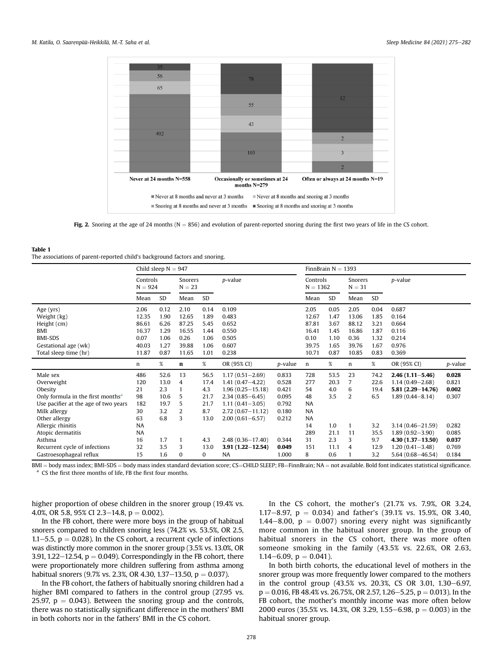<span id="page-3-0"></span>

Fig. 2. Snoring at the age of 24 months ( $N = 856$ ) and evolution of parent-reported snoring during the first two years of life in the CS cohort.

#### <span id="page-3-1"></span>Table 1 The associations of parent-reported child's background factors and snoring.

|                                                                                                                                                             | Child sleep $N = 947$                     |                                                   |                                             |                                                    |                                                                                                                                                                 |                                                             | FinnBrain $N = 1393$                                          |                                      |                                         |                                      |                                                                                                                    |                                           |
|-------------------------------------------------------------------------------------------------------------------------------------------------------------|-------------------------------------------|---------------------------------------------------|---------------------------------------------|----------------------------------------------------|-----------------------------------------------------------------------------------------------------------------------------------------------------------------|-------------------------------------------------------------|---------------------------------------------------------------|--------------------------------------|-----------------------------------------|--------------------------------------|--------------------------------------------------------------------------------------------------------------------|-------------------------------------------|
|                                                                                                                                                             | Controls<br>$N = 924$                     |                                                   | Snorers<br>$N = 23$                         |                                                    | p-value                                                                                                                                                         |                                                             | Controls<br>$N = 1362$                                        |                                      | Snorers<br>$N = 31$                     |                                      | p-value                                                                                                            |                                           |
|                                                                                                                                                             | Mean                                      | SD                                                | Mean                                        | <b>SD</b>                                          |                                                                                                                                                                 |                                                             | Mean                                                          | SD                                   | Mean                                    | <b>SD</b>                            |                                                                                                                    |                                           |
| Age (yrs)<br>Weight (kg)<br>Height (cm)<br>BMI<br><b>BMI-SDS</b>                                                                                            | 2.06<br>12.35<br>86.61<br>16.37<br>0.07   | 0.12<br>1.90<br>6.26<br>1.29<br>1.06              | 2.10<br>12.65<br>87.25<br>16.55<br>0.26     | 0.14<br>1.89<br>5.45<br>1.44<br>1.06               | 0.109<br>0.483<br>0.652<br>0.550<br>0.505                                                                                                                       |                                                             | 2.05<br>12.67<br>87.81<br>16.41<br>0.10                       | 0.05<br>1.47<br>3.67<br>1.45<br>1.10 | 2.05<br>13.06<br>88.12<br>16.86<br>0.36 | 0.04<br>1.85<br>3.21<br>1.87<br>1.32 | 0.687<br>0.164<br>0.664<br>0.116<br>0.214                                                                          |                                           |
| Gestational age (wk)<br>Total sleep time (hr)                                                                                                               | 40.03<br>11.87                            | 1.27<br>0.87                                      | 39.88<br>11.65                              | 1.06<br>1.01                                       | 0.607<br>0.238                                                                                                                                                  |                                                             | 39.75<br>10.71                                                | 1.65<br>0.87                         | 39.76<br>10.85                          | 1.67<br>0.83                         | 0.976<br>0.369                                                                                                     |                                           |
|                                                                                                                                                             | n                                         | $\%$                                              | n                                           | $\%$                                               | OR (95% CI)                                                                                                                                                     | <i>p</i> -value                                             | n                                                             | $\%$                                 | n                                       | %                                    | OR (95% CI)                                                                                                        | p-value                                   |
| Male sex<br>Overweight<br>Obesity<br>Only formula in the first months <sup>a</sup><br>Use pacifier at the age of two years<br>Milk allergy<br>Other allergy | 486<br>120<br>21<br>98<br>182<br>30<br>63 | 52.6<br>13.0<br>2.3<br>10.6<br>19.7<br>3.2<br>6.8 | 13<br>4<br>$\mathbf{1}$<br>5<br>5<br>2<br>3 | 56.5<br>17.4<br>4.3<br>21.7<br>21.7<br>8.7<br>13.0 | $1.17(0.51 - 2.69)$<br>$1.41(0.47 - 4.22)$<br>$1.96(0.25 - 15.18)$<br>$2.34(0.85 - 6.45)$<br>$1.11(0.41 - 3.05)$<br>$2.72(0.67 - 11.12)$<br>$2.00(0.61 - 6.57)$ | 0.833<br>0.528<br>0.421<br>0.095<br>0.792<br>0.180<br>0.212 | 728<br>277<br>54<br>48<br><b>NA</b><br><b>NA</b><br><b>NA</b> | 53.5<br>20.3<br>4.0<br>3.5           | 23<br>7<br>6<br>2                       | 74.2<br>22.6<br>19.4<br>6.5          | $2.46(1.11 - 5.46)$<br>$1.14(0.49 - 2.68)$<br>$5.81(2.29 - 14.76)$<br>$1.89(0.44 - 8.14)$                          | 0.028<br>0.821<br>0.002<br>0.307          |
| Allergic rhinitis<br>Atopic dermatitis<br>Asthma<br>Recurrent cycle of infections<br>Gastroesophageal reflux                                                | <b>NA</b><br><b>NA</b><br>16<br>32<br>15  | 1.7<br>3.5<br>1.6                                 | $\mathbf{1}$<br>3<br>$\bf{0}$               | 4.3<br>13.0<br>0                                   | $2.48(0.36 - 17.40)$<br>$3.91(1.22 - 12.54)$<br><b>NA</b>                                                                                                       | 0.344<br>0.049<br>1.000                                     | 14<br>289<br>31<br>151<br>8                                   | 1.0<br>21.1<br>2.3<br>11.1<br>0.6    | 1<br>11<br>3<br>4<br>$\mathbf{1}$       | 3.2<br>35.5<br>9.7<br>12.9<br>3.2    | $3.14(0.46 - 21.59)$<br>$1.89(0.92 - 3.90)$<br>$4.30(1.37 - 13.50)$<br>$1.20(0.41 - 3.48)$<br>$5.64(0.68 - 46.54)$ | 0.282<br>0.085<br>0.037<br>0.769<br>0.184 |

<span id="page-3-2"></span> $BMI = body$  mass index; BMI-SDS = body mass index standard deviation score; CS=CHILD SLEEP; FB=FinnBrain; NA = not available. Bold font indicates statistical significance.<br><sup>a</sup> CS the first three months of life, FB the first fo

higher proportion of obese children in the snorer group (19.4% vs. 4.0%, OR 5.8, 95% CI 2.3–14.8,  $p = 0.002$ ).

In the FB cohort, there were more boys in the group of habitual snorers compared to children snoring less (74.2% vs. 53.5%, OR 2.5, 1.1–5.5,  $p = 0.028$ ). In the CS cohort, a recurrent cycle of infections was distinctly more common in the snorer group (3.5% vs. 13.0%, OR 3.91, 1.22–12.54,  $p = 0.049$ ). Correspondingly in the FB cohort, there were proportionately more children suffering from asthma among habitual snorers (9.7% vs. 2.3%, OR 4.30, 1.37-13.50,  $p = 0.037$ ).

In the FB cohort, the fathers of habitually snoring children had a higher BMI compared to fathers in the control group (27.95 vs. 25.97,  $p = 0.043$ ). Between the snoring group and the controls, there was no statistically significant difference in the mothers' BMI in both cohorts nor in the fathers' BMI in the CS cohort.

In the CS cohort, the mother's (21.7% vs. 7.9%, OR 3.24, 1.17-8.97,  $p = 0.034$ ) and father's (39.1% vs. 15.9%, OR 3.40, 1.44–8.00,  $p = 0.007$ ) snoring every night was significantly more common in the habitual snorer group. In the group of habitual snorers in the CS cohort, there was more often someone smoking in the family (43.5% vs. 22.6%, OR 2.63, 1.14 $-6.09$ ,  $p = 0.041$ ).

In both birth cohorts, the educational level of mothers in the snorer group was more frequently lower compared to the mothers in the control group (43.5% vs. 20.3%, CS OR 3.01, 1.30-6.97,  $p = 0.016$ , FB 48.4% vs. 26.75%, OR 2.57, 1.26–5.25,  $p = 0.013$ ). In the FB cohort, the mother's monthly income was more often below 2000 euros (35.5% vs. 14.3%, OR 3.29, 1.55–6.98,  $p = 0.003$ ) in the habitual snorer group.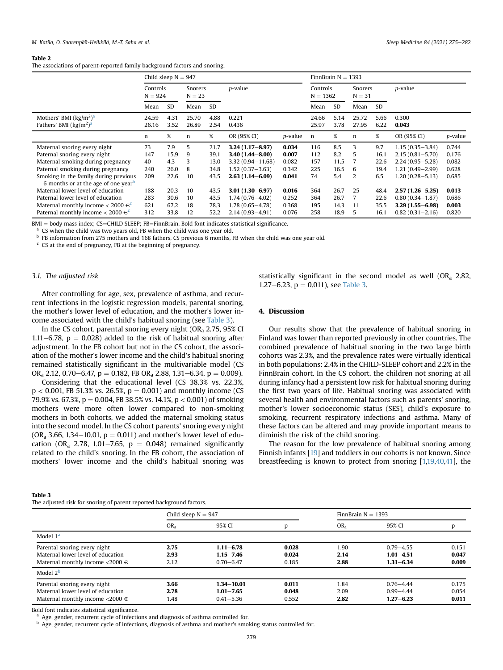#### Table 2

The associations of parent-reported family background factors and snoring.

|                                                                                                                               | Child sleep $N = 947$ |                      |                     |                      |                                                                   |                         | FinnBrain $N = 1393$   |                      |                     |                      |                                                                   |                         |  |
|-------------------------------------------------------------------------------------------------------------------------------|-----------------------|----------------------|---------------------|----------------------|-------------------------------------------------------------------|-------------------------|------------------------|----------------------|---------------------|----------------------|-------------------------------------------------------------------|-------------------------|--|
|                                                                                                                               | Controls<br>$N = 924$ |                      | Snorers<br>$N = 23$ |                      | <i>p</i> -value                                                   |                         | Controls<br>$N = 1362$ |                      | Snorers<br>$N = 31$ |                      | p-value                                                           |                         |  |
|                                                                                                                               | Mean                  | <b>SD</b>            | Mean                | <b>SD</b>            |                                                                   |                         | Mean                   | <b>SD</b>            | Mean                | <b>SD</b>            |                                                                   |                         |  |
| Mothers' BMI $\left(\frac{kg}{m^2}\right)^a$<br>Fathers' BMI $\frac{\text{kg}}{m^2}$ <sup>a</sup>                             | 24.59<br>26.16        | 4.31<br>3.52         | 25.70<br>26.89      | 4.88<br>2.54         | 0.221<br>0.436                                                    |                         | 24.66<br>25.97         | 5.14<br>3.78         | 25.72<br>27.95      | 5.66<br>6.22         | 0.300<br>0.043                                                    |                         |  |
|                                                                                                                               | n                     | $\%$                 | n                   | $\%$                 | OR (95% CI)                                                       | <i>p</i> -value         | n                      | %                    | n                   | %                    | OR (95% CI)                                                       | <i>p</i> -value         |  |
| Maternal snoring every night<br>Paternal snoring every night                                                                  | 73<br>147             | 7.9<br>15.9          | 5<br>9              | 21.7<br>39.1         | $3.24(1.17 - 8.97)$<br>$3.40(1.44 - 8.00)$                        | 0.034<br>0.007          | 116<br>112             | 8.5<br>8.2           | 3<br>5              | 9.7<br>16.1          | $1.15(0.35 - 3.84)$<br>$2.15(0.81 - 5.70)$                        | 0.744<br>0.176          |  |
| Maternal smoking during pregnancy<br>Paternal smoking during pregnancy                                                        | 40<br>240             | 4.3<br>26.0          | 3<br>8              | 13.0<br>34.8         | $3.32(0.94 - 11.68)$<br>$1.52(0.37 - 3.63)$                       | 0.082<br>0.342          | 157<br>225             | 11.5<br>16.5         | 6                   | 22.6<br>19.4         | $2.24(0.95 - 5.28)$<br>$1.21(0.49 - 2.99)$                        | 0.082<br>0.628          |  |
| Smoking in the family during previous<br>6 months or at the age of one year <sup>b</sup>                                      | 209                   | 22.6                 | 10                  | 43.5                 | $2.63(1.14 - 6.09)$                                               | 0.041                   | 74                     | 5.4                  | 2                   | 6.5                  | 1.20 (0.28 - 5.13)                                                | 0.685                   |  |
| Maternal lower level of education<br>Paternal lower level of education<br>Maternal monthly income $<$ 2000 $\in$ <sup>c</sup> | 188<br>283<br>621     | 20.3<br>30.6<br>67.2 | 10<br>10<br>18      | 43.5<br>43.5<br>78.3 | $3.01(1.30 - 6.97)$<br>$1.74(0.76 - 4.02)$<br>$1.78(0.65 - 4.78)$ | 0.016<br>0.252<br>0.368 | 364<br>364<br>195      | 26.7<br>26.7<br>14.3 | 25<br>11            | 48.4<br>22.6<br>35.5 | $2.57(1.26 - 5.25)$<br>$0.80(0.34 - 1.87)$<br>$3.29(1.55 - 6.98)$ | 0.013<br>0.686<br>0.003 |  |
| Paternal monthly income $<$ 2000 $\in$ <sup>c</sup>                                                                           | 312                   | 33.8                 | 12                  | 52.2                 | $2.14(0.93 - 4.91)$                                               | 0.076                   | 258                    | 18.9                 | 5                   | 16.1                 | $0.82(0.31 - 2.16)$                                               | 0.820                   |  |

 $BMI = body$  mass index; CS=CHILD SLEEP; FB=FinnBrain. Bold font indicates statistical significance. <br><sup>a</sup> CS when the child was two years old, FB when the child was one year old.

<span id="page-4-1"></span>

<span id="page-4-2"></span>b FB information from 275 mothers and 168 fathers, CS previous 6 months, FB when the child was one year old.

<span id="page-4-3"></span> $c$  CS at the end of pregnancy, FB at the beginning of pregnancy.

# 3.1. The adjusted risk

<span id="page-4-0"></span>Table 3

statistically significant in the second model as well  $(OR<sub>a</sub> 2.82,$ 1.27–6.23,  $p = 0.011$ ), see [Table 3](#page-4-0).

After controlling for age, sex, prevalence of asthma, and recurrent infections in the logistic regression models, parental snoring, the mother's lower level of education, and the mother's lower income associated with the child's habitual snoring (see [Table 3\)](#page-4-0).

In the CS cohort, parental snoring every night  $(OR<sub>a</sub> 2.75, 95% CI$ 1.11-6.78,  $p = 0.028$ ) added to the risk of habitual snoring after adjustment. In the FB cohort but not in the CS cohort, the association of the mother's lower income and the child's habitual snoring remained statistically significant in the multivariable model (CS OR<sub>a</sub> 2.12, 0.70–6.47, p = 0.182, FB OR<sub>a</sub> 2.88, 1.31–6.34, p = 0.009).

Considering that the educational level (CS 38.3% vs. 22.3%,  $p < 0.001$ , FB 51.3% vs. 26.5%,  $p = 0.001$ ) and monthly income (CS 79.9% vs. 67.3%,  $p = 0.004$ , FB 38.5% vs. 14.1%,  $p < 0.001$ ) of smoking mothers were more often lower compared to non-smoking mothers in both cohorts, we added the maternal smoking status into the second model. In the CS cohort parents' snoring every night (OR<sub>a</sub> 3.66, 1.34–10.01,  $p = 0.011$ ) and mother's lower level of education (OR<sub>a</sub> 2.78, 1.01–7.65,  $p = 0.048$ ) remained significantly related to the child's snoring. In the FB cohort, the association of mothers' lower income and the child's habitual snoring was

# 4. Discussion

Our results show that the prevalence of habitual snoring in Finland was lower than reported previously in other countries. The combined prevalence of habitual snoring in the two large birth cohorts was 2.3%, and the prevalence rates were virtually identical in both populations: 2.4% in the CHILD-SLEEP cohort and 2.2% in the FinnBrain cohort. In the CS cohort, the children not snoring at all during infancy had a persistent low risk for habitual snoring during the first two years of life. Habitual snoring was associated with several health and environmental factors such as parents' snoring, mother's lower socioeconomic status (SES), child's exposure to smoking, recurrent respiratory infections and asthma. Many of these factors can be altered and may provide important means to diminish the risk of the child snoring.

The reason for the low prevalence of habitual snoring among Finnish infants [\[19](#page-6-13)] and toddlers in our cohorts is not known. Since breastfeeding is known to protect from snoring [\[1,](#page-6-0)[19](#page-6-13)[,40,](#page-7-5)[41\]](#page-7-6), the

| The adjusted risk for snoring of parent reported background factors.                                          |                       |                                                  |                         |                      |                                                 |                         |  |  |  |  |  |
|---------------------------------------------------------------------------------------------------------------|-----------------------|--------------------------------------------------|-------------------------|----------------------|-------------------------------------------------|-------------------------|--|--|--|--|--|
|                                                                                                               | Child sleep $N = 947$ |                                                  |                         | FinnBrain $N = 1393$ |                                                 |                         |  |  |  |  |  |
|                                                                                                               | OR <sub>a</sub>       | 95% CI                                           | p                       | OR <sub>a</sub>      | 95% CI                                          |                         |  |  |  |  |  |
| Model $1a$                                                                                                    |                       |                                                  |                         |                      |                                                 |                         |  |  |  |  |  |
| Parental snoring every night<br>Maternal lower level of education<br>Maternal monthly income $\lt$ 2000 $\in$ | 2.75<br>2.93<br>2.12  | $1.11 - 6.78$<br>$1.15 - 7.46$<br>$0.70 - 6.47$  | 0.028<br>0.024<br>0.185 | 1.90<br>2.14<br>2.88 | $0.79 - 4.55$<br>$1.01 - 4.51$<br>$1.31 - 6.34$ | 0.151<br>0.047<br>0.009 |  |  |  |  |  |
| Model $2b$                                                                                                    |                       |                                                  |                         |                      |                                                 |                         |  |  |  |  |  |
| Parental snoring every night<br>Maternal lower level of education<br>Maternal monthly income $\lt$ 2000 $\in$ | 3.66<br>2.78<br>1.48  | $1.34 - 10.01$<br>$1.01 - 7.65$<br>$0.41 - 5.36$ | 0.011<br>0.048<br>0.552 | 1.84<br>2.09<br>2.82 | $0.76 - 4.44$<br>$0.99 - 4.44$<br>$1.27 - 6.23$ | 0.175<br>0.054<br>0.011 |  |  |  |  |  |

Bold font indicates statistical significance.

<span id="page-4-4"></span><sup>a</sup> Age, gender, recurrent cycle of infections and diagnosis of asthma controlled for.

<span id="page-4-5"></span>b Age, gender, recurrent cycle of infections, diagnosis of asthma and mother's smoking status controlled for.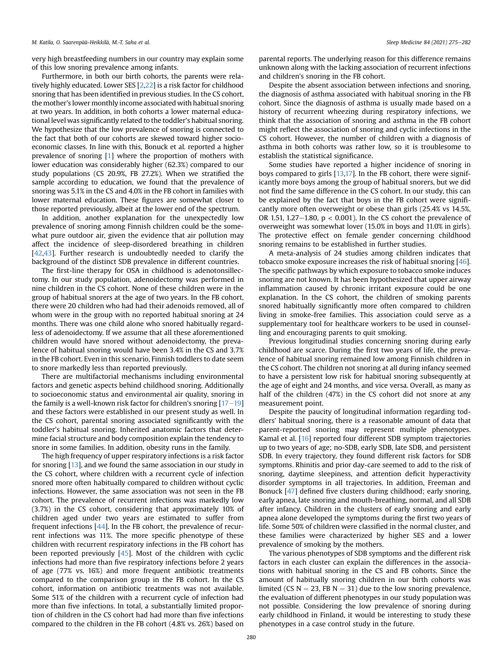very high breastfeeding numbers in our country may explain some of this low snoring prevalence among infants.

Furthermore, in both our birth cohorts, the parents were relatively highly educated. Lower SES [[2](#page-6-10)[,22](#page-6-14)] is a risk factor for childhood snoring that has been identified in previous studies. In the CS cohort, the mother's lower monthly income associated with habitual snoring at two years. In addition, in both cohorts a lower maternal educational level was significantly related to the toddler's habitual snoring. We hypothesize that the low prevalence of snoring is connected to the fact that both of our cohorts are skewed toward higher socioeconomic classes. In line with this, Bonuck et al. reported a higher prevalence of snoring [\[1\]](#page-6-0) where the proportion of mothers with lower education was considerably higher (62.3%) compared to our study populations (CS 20.9%, FB 27.2%). When we stratified the sample according to education, we found that the prevalence of snoring was 5.1% in the CS and 4.0% in the FB cohort in families with lower maternal education. These figures are somewhat closer to those reported previously, albeit at the lower end of the spectrum.

In addition, another explanation for the unexpectedly low prevalence of snoring among Finnish children could be the somewhat pure outdoor air, given the evidence that air pollution may affect the incidence of sleep-disordered breathing in children [[42](#page-7-7),[43](#page-7-8)]. Further research is undoubtedly needed to clarify the background of the distinct SDB prevalence in different countries.

The first-line therapy for OSA in childhood is adenotonsillectomy. In our study population, adenoidectomy was performed in nine children in the CS cohort. None of these children were in the group of habitual snorers at the age of two years. In the FB cohort, there were 20 children who had had their adenoids removed, all of whom were in the group with no reported habitual snoring at 24 months. There was one child alone who snored habitually regardless of adenoidectomy. If we assume that all these aforementioned children would have snored without adenoidectomy, the prevalence of habitual snoring would have been 3.4% in the CS and 3.7% in the FB cohort. Even in this scenario, Finnish toddlers to date seem to snore markedly less than reported previously.

There are multifactorial mechanisms including environmental factors and genetic aspects behind childhood snoring. Additionally to socioeconomic status and environmental air quality, snoring in the family is a well-known risk factor for children's snoring  $[17-19]$  $[17-19]$  $[17-19]$ and these factors were established in our present study as well. In the CS cohort, parental snoring associated significantly with the toddler's habitual snoring. Inherited anatomic factors that determine facial structure and body composition explain the tendency to snore in some families. In addition, obesity runs in the family.

The high frequency of upper respiratory infections is a risk factor for snoring [[13\]](#page-6-6), and we found the same association in our study in the CS cohort, where children with a recurrent cycle of infection snored more often habitually compared to children without cyclic infections. However, the same association was not seen in the FB cohort. The prevalence of recurrent infections was markedly low (3.7%) in the CS cohort, considering that approximately 10% of children aged under two years are estimated to suffer from frequent infections [[44](#page-7-9)]. In the FB cohort, the prevalence of recurrent infections was 11%. The more specific phenotype of these children with recurrent respiratory infections in the FB cohort has been reported previously [[45](#page-7-10)]. Most of the children with cyclic infections had more than five respiratory infections before 2 years of age (77% vs. 16%) and more frequent antibiotic treatments compared to the comparison group in the FB cohort. In the CS cohort, information on antibiotic treatments was not available. Some 51% of the children with a recurrent cycle of infection had more than five infections. In total, a substantially limited proportion of children in the CS cohort had had more than five infections compared to the children in the FB cohort (4.8% vs. 26%) based on

parental reports. The underlying reason for this difference remains unknown along with the lacking association of recurrent infections and children's snoring in the FB cohort.

Despite the absent association between infections and snoring, the diagnosis of asthma associated with habitual snoring in the FB cohort. Since the diagnosis of asthma is usually made based on a history of recurrent wheezing during respiratory infections, we think that the association of snoring and asthma in the FB cohort might reflect the association of snoring and cyclic infections in the CS cohort. However, the number of children with a diagnosis of asthma in both cohorts was rather low, so it is troublesome to establish the statistical significance.

Some studies have reported a higher incidence of snoring in boys compared to girls [\[13](#page-6-6)[,17](#page-6-11)]. In the FB cohort, there were significantly more boys among the group of habitual snorers, but we did not find the same difference in the CS cohort. In our study, this can be explained by the fact that boys in the FB cohort were significantly more often overweight or obese than girls (25.4% vs 14.5%, OR 1.51, 1.27 $-1.80$ ,  $p < 0.001$ ). In the CS cohort the prevalence of overweight was somewhat lover (15.0% in boys and 11.0% in girls). The protective effect on female gender concerning childhood snoring remains to be established in further studies.

A meta-analysis of 24 studies among children indicates that tobacco smoke exposure increases the risk of habitual snoring [\[46\]](#page-7-11). The specific pathways by which exposure to tobacco smoke induces snoring are not known. It has been hypothesized that upper airway inflammation caused by chronic irritant exposure could be one explanation. In the CS cohort, the children of smoking parents snored habitually significantly more often compared to children living in smoke-free families. This association could serve as a supplementary tool for healthcare workers to be used in counselling and encouraging parents to quit smoking.

Previous longitudinal studies concerning snoring during early childhood are scarce. During the first two years of life, the prevalence of habitual snoring remained low among Finnish children in the CS cohort. The children not snoring at all during infancy seemed to have a persistent low risk for habitual snoring subsequently at the age of eight and 24 months, and vice versa. Overall, as many as half of the children (47%) in the CS cohort did not snore at any measurement point.

Despite the paucity of longitudinal information regarding toddlers' habitual snoring, there is a reasonable amount of data that parent-reported snoring may represent multiple phenotypes. Kamal et al. [[16\]](#page-6-9) reported four different SDB symptom trajectories up to two years of age; no-SDB, early SDB, late SDB, and persistent SDB. In every trajectory, they found different risk factors for SDB symptoms. Rhinitis and prior day-care seemed to add to the risk of snoring, daytime sleepiness, and attention deficit hyperactivity disorder symptoms in all trajectories. In addition, Freeman and Bonuck [\[47](#page-7-12)] defined five clusters during childhood; early snoring, early apnea, late snoring and mouth-breathing, normal, and all SDB after infancy. Children in the clusters of early snoring and early apnea alone developed the symptoms during the first two years of life. Some 50% of children were classified in the normal cluster, and these families were characterized by higher SES and a lower prevalence of smoking by the mothers.

The various phenotypes of SDB symptoms and the different risk factors in each cluster can explain the differences in the associations with habitual snoring in the CS and FB cohorts. Since the amount of habitually snoring children in our birth cohorts was limited (CS  $N = 23$ , FB  $N = 31$ ) due to the low snoring prevalence, the evaluation of different phenotypes in our study population was not possible. Considering the low prevalence of snoring during early childhood in Finland, it would be interesting to study these phenotypes in a case control study in the future.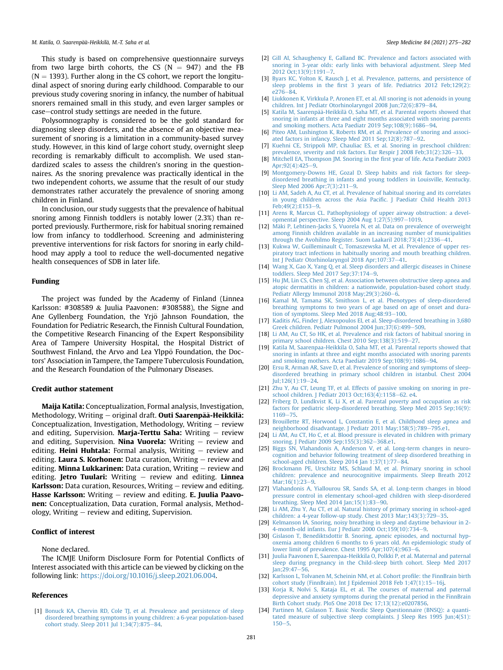This study is based on comprehensive questionnaire surveys from two large birth cohorts, the CS ( $N = 947$ ) and the FB  $(N = 1393)$ . Further along in the CS cohort, we report the longitudinal aspect of snoring during early childhood. Comparable to our previous study covering snoring in infancy, the number of habitual snorers remained small in this study, and even larger samples or case-control study settings are needed in the future.

Polysomnography is considered to be the gold standard for diagnosing sleep disorders, and the absence of an objective measurement of snoring is a limitation in a community-based survey study. However, in this kind of large cohort study, overnight sleep recording is remarkably difficult to accomplish. We used standardized scales to assess the children's snoring in the questionnaires. As the snoring prevalence was practically identical in the two independent cohorts, we assume that the result of our study demonstrates rather accurately the prevalence of snoring among children in Finland.

In conclusion, our study suggests that the prevalence of habitual snoring among Finnish toddlers is notably lower (2.3%) than reported previously. Furthermore, risk for habitual snoring remained low from infancy to toddlerhood. Screening and administering preventive interventions for risk factors for snoring in early childhood may apply a tool to reduce the well-documented negative health consequences of SDB in later life.

### Funding

The project was funded by the Academy of Finland (Linnea Karlsson: #308589 & Juulia Paavonen: #308588), the Signe and Ane Gyllenberg Foundation, the Yrjö Jahnson Foundation, the Foundation for Pediatric Research, the Finnish Cultural Foundation, the Competitive Research Financing of the Expert Responsibility Area of Tampere University Hospital, the Hospital District of Southwest Finland, the Arvo and Lea Ylppo Foundation, the Doctors' Association in Tampere, the Tampere Tuberculosis Foundation, and the Research Foundation of the Pulmonary Diseases.

#### Credit author statement

Maija Katila: Conceptualization, Formal analysis, Investigation, Methodology, Writing  $-$  original draft. Outi Saarenpää-Heikkilä: Conceptualization, Investigation, Methodology, Writing  $-$  review and editing, Supervision. Marja-Terttu Saha: Writing  $-$  review and editing, Supervision. Nina Vuorela: Writing  $-$  review and editing. Heini Huhtala: Formal analysis, Writing  $-$  review and editing. Laura S. Korhonen: Data curation, Writing  $-$  review and editing. **Minna Lukkarinen:** Data curation, Writing  $-$  review and editing. **Jetro Tuulari:** Writing  $-$  review and editing. **Linnea Karlsson:** Data curation, Resources, Writing  $-$  review and editing. **Hasse Karlsson:** Writing  $-$  review and editing. **E. Juulia Paavo**nen: Conceptualization, Data curation, Formal analysis, Methodology, Writing  $-$  review and editing, Supervision.

# Conflict of interest

None declared.

The ICMJE Uniform Disclosure Form for Potential Conflicts of Interest associated with this article can be viewed by clicking on the following link: <https://doi.org/10.1016/j.sleep.2021.06.004>.

#### References

<span id="page-6-0"></span>[1] [Bonuck KA, Chervin RD, Cole TJ, et al. Prevalence and persistence of sleep](http://refhub.elsevier.com/S1389-9457(21)00335-X/sref1) [disordered breathing symptoms in young children: a 6-year population-based](http://refhub.elsevier.com/S1389-9457(21)00335-X/sref1) [cohort study. Sleep 2011 Jul 1;34\(7\):875](http://refhub.elsevier.com/S1389-9457(21)00335-X/sref1)-[84](http://refhub.elsevier.com/S1389-9457(21)00335-X/sref1).

- <span id="page-6-10"></span>[2] [Gill AI, Schaughency E, Galland BC. Prevalence and factors associated with](http://refhub.elsevier.com/S1389-9457(21)00335-X/sref2) [snoring in 3-year olds: early links with behavioral adjustment. Sleep Med](http://refhub.elsevier.com/S1389-9457(21)00335-X/sref2) 2012 Oct:13(9):1191-[7.](http://refhub.elsevier.com/S1389-9457(21)00335-X/sref2)
- <span id="page-6-2"></span>[3] [Byars KC, Yolton K, Rausch J, et al. Prevalence, patterns, and persistence of](http://refhub.elsevier.com/S1389-9457(21)00335-X/sref3) sleep problems in the fi[rst 3 years of life. Pediatrics 2012 Feb;129\(2\):](http://refhub.elsevier.com/S1389-9457(21)00335-X/sref3)  $e^{276-84}$
- <span id="page-6-1"></span>[4] [Liukkonen K, Virkkula P, Aronen ET, et al. All snoring is not adenoids in young](http://refhub.elsevier.com/S1389-9457(21)00335-X/sref4) [children. Int J Pediatr Otorhinolaryngol 2008 Jun;72\(6\):879](http://refhub.elsevier.com/S1389-9457(21)00335-X/sref4)-[84](http://refhub.elsevier.com/S1389-9457(21)00335-X/sref4).
- <span id="page-6-3"></span>[5] [Katila M, Saarenp](http://refhub.elsevier.com/S1389-9457(21)00335-X/sref5)ää[-Heikkil](http://refhub.elsevier.com/S1389-9457(21)00335-X/sref5)ä [O, Saha MT, et al. Parental reports showed that](http://refhub.elsevier.com/S1389-9457(21)00335-X/sref5) [snoring in infants at three and eight months associated with snoring parents](http://refhub.elsevier.com/S1389-9457(21)00335-X/sref5) and smoking mothers. Acta Paediatr  $2019$  Sep:  $108(9)$ :  $1686 - 94$  $1686 - 94$ .
- <span id="page-6-21"></span>[6] [Piteo AM, Lushington K, Roberts RM, et al. Prevalence of snoring and associ](http://refhub.elsevier.com/S1389-9457(21)00335-X/sref6)ated factors in infancy. Sleep Med  $2011$  Sep: $12(8)$ : $787-92$ .
- [7] [Kuehni CE, Strippoli MP, Chauliac ES, et al. Snoring in preschool children:](http://refhub.elsevier.com/S1389-9457(21)00335-X/sref7) [prevalence, severity and risk factors. Eur Respir J 2008 Feb;31\(2\):326](http://refhub.elsevier.com/S1389-9457(21)00335-X/sref7)–[33](http://refhub.elsevier.com/S1389-9457(21)00335-X/sref7).
- [8] [Mitchell EA, Thompson JM. Snoring in the](http://refhub.elsevier.com/S1389-9457(21)00335-X/sref8) first year of life. Acta Paediatr 2003  $Arr92(4)$  $Arr92(4)$  $Arr92(4)$ :425-9.
- <span id="page-6-18"></span>[9] [Montgomery-Downs HE, Gozal D. Sleep habits and risk factors for sleep](http://refhub.elsevier.com/S1389-9457(21)00335-X/sref9)[disordered breathing in infants and young toddlers in Louisville, Kentucky.](http://refhub.elsevier.com/S1389-9457(21)00335-X/sref9) Sleep Med 2006 Apr:  $7(3):211-9$  $7(3):211-9$ .
- [10] [Li AM, Sadeh A, Au CT, et al. Prevalence of habitual snoring and its correlates](http://refhub.elsevier.com/S1389-9457(21)00335-X/sref10) [in young children across the Asia Paci](http://refhub.elsevier.com/S1389-9457(21)00335-X/sref10)fic. J Paediatr Child Health 2013 Feb: 4[9](http://refhub.elsevier.com/S1389-9457(21)00335-X/sref10)(2): E153-9.
- <span id="page-6-4"></span>[11] [Arens R, Marcus CL. Pathophysiology of upper airway obstruction: a devel](http://refhub.elsevier.com/S1389-9457(21)00335-X/sref11)[opmental perspective. Sleep 2004 Aug 1;27\(5\):997](http://refhub.elsevier.com/S1389-9457(21)00335-X/sref11)-[1019.](http://refhub.elsevier.com/S1389-9457(21)00335-X/sref11)
- <span id="page-6-5"></span>[12] [M](http://refhub.elsevier.com/S1389-9457(21)00335-X/sref12)äki P, Lehtinen-Jacks S, Vuorela N, et al. Data on prevalence of overweight [among Finnish children available in an increasing number of municipalities](http://refhub.elsevier.com/S1389-9457(21)00335-X/sref12) through the Avohilmo Register. Suom Laakaril 2018:73([41](http://refhub.elsevier.com/S1389-9457(21)00335-X/sref12)):2336-41.
- <span id="page-6-6"></span>[13] [Kukwa W, Guilleminault C, Tomaszewska M, et al. Prevalence of upper res](http://refhub.elsevier.com/S1389-9457(21)00335-X/sref13)[piratory tract infections in habitually snoring and mouth breathing children.](http://refhub.elsevier.com/S1389-9457(21)00335-X/sref13) [Int J Pediatr Otorhinolaryngol 2018 Apr;107:37](http://refhub.elsevier.com/S1389-9457(21)00335-X/sref13)-[41](http://refhub.elsevier.com/S1389-9457(21)00335-X/sref13).
- <span id="page-6-7"></span>[14] [Wang X, Gao X, Yang Q, et al. Sleep disorders and allergic diseases in Chinese](http://refhub.elsevier.com/S1389-9457(21)00335-X/sref14) [toddlers. Sleep Med 2017 Sep;37:174](http://refhub.elsevier.com/S1389-9457(21)00335-X/sref14)-[9](http://refhub.elsevier.com/S1389-9457(21)00335-X/sref14).
- <span id="page-6-8"></span>[15] [Hu JM, Lin CS, Chen SJ, et al. Association between obstructive sleep apnea and](http://refhub.elsevier.com/S1389-9457(21)00335-X/sref15) [atopic dermatitis in children: a nationwide, population-based cohort study.](http://refhub.elsevier.com/S1389-9457(21)00335-X/sref15) Pediatr Allergy Immunol 2018 May; 29(3): 260-[6.](http://refhub.elsevier.com/S1389-9457(21)00335-X/sref15)
- <span id="page-6-9"></span>[16] [Kamal M, Tamana SK, Smithson L, et al. Phenotypes of sleep-disordered](http://refhub.elsevier.com/S1389-9457(21)00335-X/sref16) [breathing symptoms to two years of age based on age of onset and dura-](http://refhub.elsevier.com/S1389-9457(21)00335-X/sref16)tion of symptoms. Sleep Med 2018 Aug; 48: 93-[100](http://refhub.elsevier.com/S1389-9457(21)00335-X/sref16).
- <span id="page-6-11"></span>[17] [Kaditis AG, Finder J, Alexopoulos EI, et al. Sleep-disordered breathing in 3,680](http://refhub.elsevier.com/S1389-9457(21)00335-X/sref17) [Greek children. Pediatr Pulmonol 2004 Jun;37\(6\):499](http://refhub.elsevier.com/S1389-9457(21)00335-X/sref17)-[509.](http://refhub.elsevier.com/S1389-9457(21)00335-X/sref17)
- <span id="page-6-12"></span>[18] [Li AM, Au CT, So HK, et al. Prevalence and risk factors of habitual snoring in](http://refhub.elsevier.com/S1389-9457(21)00335-X/sref18) [primary school children. Chest 2010 Sep;138\(3\):519](http://refhub.elsevier.com/S1389-9457(21)00335-X/sref18)-[27](http://refhub.elsevier.com/S1389-9457(21)00335-X/sref18).
- <span id="page-6-13"></span>[19] [Katila M, Saarenpaa-Heikkila O, Saha MT, et al. Parental reports showed that](http://refhub.elsevier.com/S1389-9457(21)00335-X/sref19) [snoring in infants at three and eight months associated with snoring parents](http://refhub.elsevier.com/S1389-9457(21)00335-X/sref19) [and smoking mothers. Acta Paediatr 2019 Sep;108\(9\):1686](http://refhub.elsevier.com/S1389-9457(21)00335-X/sref19)-[94.](http://refhub.elsevier.com/S1389-9457(21)00335-X/sref19)
- [20] [Ersu R, Arman AR, Save D, et al. Prevalence of snoring and symptoms of sleep](http://refhub.elsevier.com/S1389-9457(21)00335-X/sref20)[disordered breathing in primary school children in istanbul. Chest 2004](http://refhub.elsevier.com/S1389-9457(21)00335-X/sref20) [Jul;126\(1\):19](http://refhub.elsevier.com/S1389-9457(21)00335-X/sref20)-[24](http://refhub.elsevier.com/S1389-9457(21)00335-X/sref20).
- [21] [Zhu Y, Au CT, Leung TF, et al. Effects of passive smoking on snoring in pre](http://refhub.elsevier.com/S1389-9457(21)00335-X/sref21)[school children. J Pediatr 2013 Oct;163\(4\):1158](http://refhub.elsevier.com/S1389-9457(21)00335-X/sref21)-[62. e4](http://refhub.elsevier.com/S1389-9457(21)00335-X/sref21).
- <span id="page-6-14"></span>[22] [Friberg D, Lundkvist K, Li X, et al. Parental poverty and occupation as risk](http://refhub.elsevier.com/S1389-9457(21)00335-X/sref22) [factors for pediatric sleep-disordered breathing. Sleep Med 2015 Sep;16\(9\):](http://refhub.elsevier.com/S1389-9457(21)00335-X/sref22) [1169](http://refhub.elsevier.com/S1389-9457(21)00335-X/sref22)-[75.](http://refhub.elsevier.com/S1389-9457(21)00335-X/sref22)
- <span id="page-6-15"></span>[23] [Brouillette RT, Horwood L, Constantin E, et al. Childhood sleep apnea and](http://refhub.elsevier.com/S1389-9457(21)00335-X/sref23) [neighborhood disadvantage. J Pediatr 2011 May;158\(5\):789](http://refhub.elsevier.com/S1389-9457(21)00335-X/sref23)-[795.e1.](http://refhub.elsevier.com/S1389-9457(21)00335-X/sref23)
- <span id="page-6-16"></span>[24] [Li AM, Au CT, Ho C, et al. Blood pressure is elevated in children with primary](http://refhub.elsevier.com/S1389-9457(21)00335-X/sref24) snoring. J Pediatr 2009 Sep;155 $(3)$ :362-[368.e1.](http://refhub.elsevier.com/S1389-9457(21)00335-X/sref24)
- [25] [Biggs SN, Vlahandonis A, Anderson V, et al. Long-term changes in neuro](http://refhub.elsevier.com/S1389-9457(21)00335-X/sref25)[cognition and behavior following treatment of sleep disordered breathing in](http://refhub.elsevier.com/S1389-9457(21)00335-X/sref25) school-aged children. Sleep 2014 Jan  $1;37(1);77-84$  $1;37(1);77-84$ .
- [26] [Brockmann PE, Urschitz MS, Schlaud M, et al. Primary snoring in school](http://refhub.elsevier.com/S1389-9457(21)00335-X/sref26) [children: prevalence and neurocognitive impairments. Sleep Breath 2012](http://refhub.elsevier.com/S1389-9457(21)00335-X/sref26) Mar; 16(1): 23-[9](http://refhub.elsevier.com/S1389-9457(21)00335-X/sref26).
- [27] [Vlahandonis A, Yiallourou SR, Sands SA, et al. Long-term changes in blood](http://refhub.elsevier.com/S1389-9457(21)00335-X/sref27) [pressure control in elementary school-aged children with sleep-disordered](http://refhub.elsevier.com/S1389-9457(21)00335-X/sref27)  $\overline{b}$  breathing. Sleep Med 2014 Jan; 15(1):83-[90.](http://refhub.elsevier.com/S1389-9457(21)00335-X/sref27)
- <span id="page-6-17"></span>[28] [Li AM, Zhu Y, Au CT, et al. Natural history of primary snoring in school-aged](http://refhub.elsevier.com/S1389-9457(21)00335-X/sref28) children: a 4-year follow-up study. Chest  $2013$  Mar;  $143(3)$ :  $729-35$  $729-35$ .
- <span id="page-6-19"></span>[29] [Kelmanson IA. Snoring, noisy breathing in sleep and daytime behaviour in 2-](http://refhub.elsevier.com/S1389-9457(21)00335-X/sref29) [4-month-old infants. Eur J Pediatr 2000 Oct;159\(10\):734](http://refhub.elsevier.com/S1389-9457(21)00335-X/sref29)-[9](http://refhub.elsevier.com/S1389-9457(21)00335-X/sref29).
- <span id="page-6-20"></span>[30] [Gislason T, Benediktsdottir B. Snoring, apneic episodes, and nocturnal hyp](http://refhub.elsevier.com/S1389-9457(21)00335-X/sref30)[oxemia among children 6 months to 6 years old. An epidemiologic study of](http://refhub.elsevier.com/S1389-9457(21)00335-X/sref30) lower limit of prevalence. Chest 1995 Apr;  $107(4)$ :  $963-6$ .
- <span id="page-6-22"></span>[31] [Juulia Paavonen E, Saarenpaa-Heikkila O, Polkki P, et al. Maternal and paternal](http://refhub.elsevier.com/S1389-9457(21)00335-X/sref31) [sleep during pregnancy in the Child-sleep birth cohort. Sleep Med 2017](http://refhub.elsevier.com/S1389-9457(21)00335-X/sref31)  $Jan:29:47-56$
- <span id="page-6-23"></span>[32] [Karlsson L, Tolvanen M, Scheinin NM, et al. Cohort pro](http://refhub.elsevier.com/S1389-9457(21)00335-X/sref32)file: the FinnBrain birth [cohort study \(FinnBrain\). Int J Epidemiol 2018 Feb 1;47\(1\):15](http://refhub.elsevier.com/S1389-9457(21)00335-X/sref32)-[16j](http://refhub.elsevier.com/S1389-9457(21)00335-X/sref32).
- <span id="page-6-24"></span>[33] [Korja R, Nolvi S, Kataja EL, et al. The courses of maternal and paternal](http://refhub.elsevier.com/S1389-9457(21)00335-X/sref33) [depressive and anxiety symptoms during the prenatal period in the FinnBrain](http://refhub.elsevier.com/S1389-9457(21)00335-X/sref33) [Birth Cohort study. PloS One 2018 Dec 17;13\(12\):e0207856.](http://refhub.elsevier.com/S1389-9457(21)00335-X/sref33)
- <span id="page-6-25"></span>[34] [Partinen M, Gislason T. Basic Nordic Sleep Questionnaire \(BNSQ\): a quanti](http://refhub.elsevier.com/S1389-9457(21)00335-X/sref34)[tated measure of subjective sleep complaints. J Sleep Res 1995 Jun;4\(S1\):](http://refhub.elsevier.com/S1389-9457(21)00335-X/sref34)  $150 - 5.$  $150 - 5.$  $150 - 5.$  $150 - 5.$